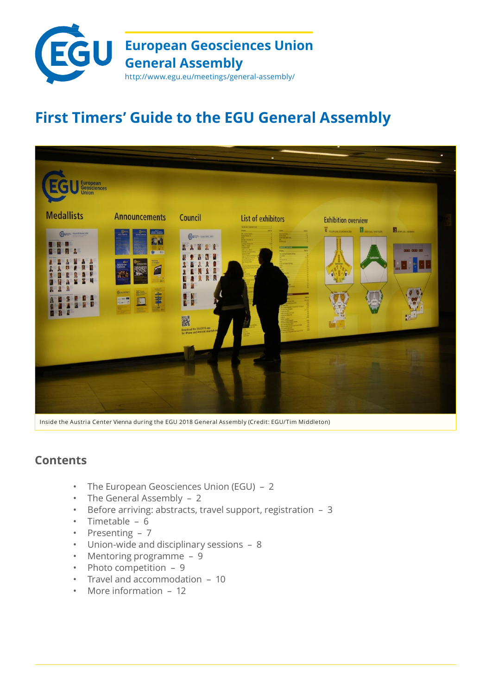

# **First Timers' Guide to the EGU General Assembly**



Inside the Austria Center Vienna during the EGU 2018 General Assembly (Credit: EGU/Tim Middleton)

## **Contents**

- The European Geosciences Union (EGU) 2
- The General Assembly 2
- Before arriving: abstracts, travel support, registration 3
- Timetable 6
- Presenting 7
- Union-wide and disciplinary sessions 8
- Mentoring programme 9
- Photo competition 9
- Travel and accommodation 10
- More information 12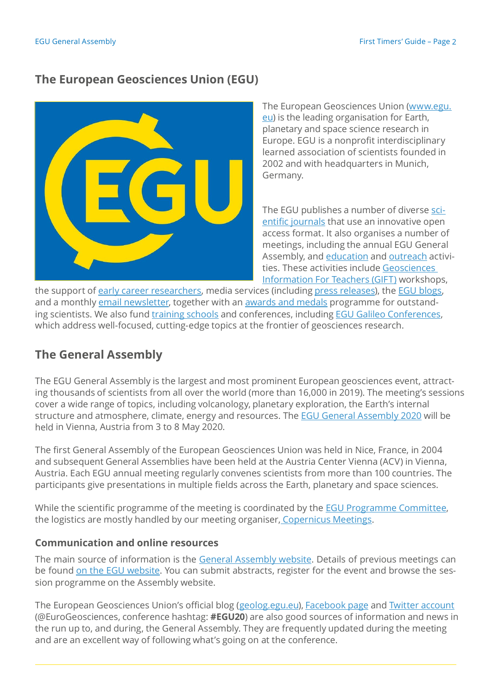## **The European Geosciences Union (EGU)**



The European Geosciences Union [\(www.egu.](http://www.egu.eu/) [eu\)](http://www.egu.eu/) is the leading organisation for Earth, planetary and space science research in Europe. EGU is a nonprofit interdisciplinary learned association of scientists founded in 2002 and with headquarters in Munich, Germany.

The EGU publishes a number of diverse [sci](http://www.egu.eu/publications/open-access-journals/)entific [journals](http://www.egu.eu/publications/open-access-journals/) that use an innovative open access format. It also organises a number of meetings, including the annual EGU General Assembly, and [education](http://www.egu.eu/education/) and [outreach](http://www.egu.eu/outreach/) activities. These activities include [Geosciences](http://www.egu.eu/outreach/gift/) [Information](http://www.egu.eu/outreach/gift/) For Teachers (GIFT) workshops,

the support of early career [researchers,](https://www.egu.eu/ecs/) media services (including press [releases\)](http://www.egu.eu/news/press-releases/), the EGU [blogs,](http://blogs.egu.eu/) and a monthly email [newsletter,](http://www.egu.eu/newsletter/) together with an awards and [medals](http://www.egu.eu/awards-medals/) programme for outstanding scientists. We also fund [training](https://www.egu.eu/meetings/support-requests/) schools and conferences, including EGU Galileo [Conferences,](https://www.egu.eu/meetings/galileo-conferences/) which address well-focused, cutting-edge topics at the frontier of geosciences research.

## **The General Assembly**

The EGU General Assembly is the largest and most prominent European geosciences event, attracting thousands of scientists from all over the world (more than 16,000 in 2019). The meeting's sessions cover a wide range of topics, including volcanology, planetary exploration, the Earth's internal structure and atmosphere, climate, energy and resources. The EGU General [Assembly](https://www.egu2020.eu/) 2020 will be held in Vienna, Austria from 3 to 8 May 2020.

The first General Assembly of the European Geosciences Union was held in Nice, France, in 2004 and subsequent General Assemblies have been held at the Austria Center Vienna (ACV) in Vienna, Austria. Each EGU annual meeting regularly convenes scientists from more than 100 countries. The participants give presentations in multiple fields across the Earth, planetary and space sciences.

While the scientific programme of the meeting is coordinated by the **EGU [Programme](https://egu2020.eu/about_and_support/programme_committee.html) Committee**, the logistics are mostly handled by our meeting organiser, [Copernicus](https://meetings.copernicus.org/) Meetings.

## **Communication and online resources**

The main source of information is the General [Assembly](https://www.egu2020.eu/) website. Details of previous meetings can be found on the EGU [website.](http://www.egu.eu/meetings/general-assembly/) You can submit abstracts, register for the event and browse the session programme on the Assembly website.

The European Geosciences Union's official blog [\(geolog.egu.eu\)](http://blogs.egu.eu/geolog/), [Facebook](https://www.facebook.com/EuropeanGeosciencesUnion) page and Twitter [account](https://twitter.com/EuroGeosciences) (@EuroGeosciences, conference hashtag: **#EGU20**) are also good sources of information and news in the run up to, and during, the General Assembly. They are frequently updated during the meeting and are an excellent way of following what's going on at the conference.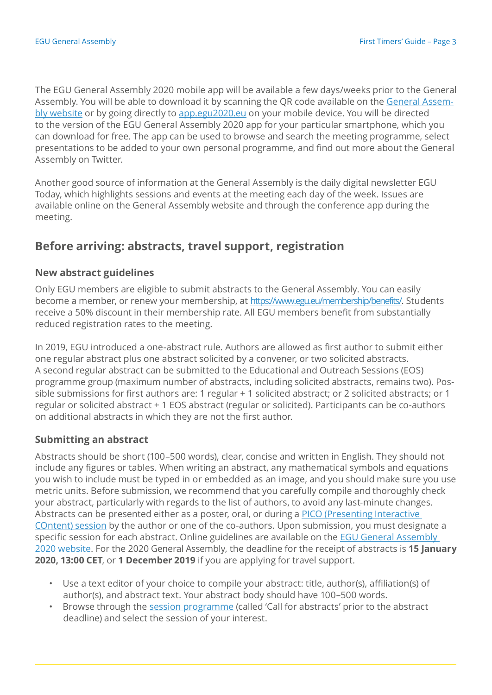The EGU General Assembly 2020 mobile app will be available a few days/weeks prior to the General Assembly. You will be able to download it by scanning the QR code available on the [General](https://www.egu2020.eu/) Assembly [website](https://www.egu2020.eu/) or by going directly to [app.egu2020.eu](https://www.egu2020.eu/) on your mobile device. You will be directed to the version of the EGU General Assembly 2020 app for your particular smartphone, which you can download for free. The app can be used to browse and search the meeting programme, select presentations to be added to your own personal programme, and find out more about the General Assembly on Twitter.

Another good source of information at the General Assembly is the daily digital newsletter EGU Today, which highlights sessions and events at the meeting each day of the week. Issues are available online on the General Assembly website and through the conference app during the meeting.

## **Before arriving: abstracts, travel support, registration**

#### **New abstract guidelines**

Only EGU members are eligible to submit abstracts to the General Assembly. You can easily become a member, or renew your membership, at [https://www.egu.eu/membership/benefits/.](https://www.egu.eu/membership/benefits/) Students receive a 50% discount in their membership rate. All EGU members benefit from substantially reduced registration rates to the meeting.

In 2019, EGU introduced a one-abstract rule. Authors are allowed as first author to submit either one regular abstract plus one abstract solicited by a convener, or two solicited abstracts. A second regular abstract can be submitted to the Educational and Outreach Sessions (EOS) programme group (maximum number of abstracts, including solicited abstracts, remains two). Possible submissions for first authors are: 1 regular + 1 solicited abstract; or 2 solicited abstracts; or 1 regular or solicited abstract + 1 EOS abstract (regular or solicited). Participants can be co-authors on additional abstracts in which they are not the first author.

### **Submitting an abstract**

Abstracts should be short (100–500 words), clear, concise and written in English. They should not include any figures or tables. When writing an abstract, any mathematical symbols and equations you wish to include must be typed in or embedded as an image, and you should make sure you use metric units. Before submission, we recommend that you carefully compile and thoroughly check your abstract, particularly with regards to the list of authors, to avoid any last-minute changes. Abstracts can be presented either as a poster, oral, or during a PICO [\(Presenting](https://egu2020.eu/guidelines/pico_presenter_guidelines.html) Interactive [COntent\)](https://egu2020.eu/guidelines/pico_presenter_guidelines.html) session by the author or one of the co-authors. Upon submission, you must designate a specific session for each abstract. Online guidelines are available on the EGU General [Assembly](https://www.egu2020.eu/) [2020 website.](https://www.egu2020.eu/) For the 2020 General Assembly, the deadline for the receipt of abstracts is **15 January 2020, 13:00 CET**, or **1 December 2019** if you are applying for travel support.

- Use a text editor of your choice to compile your abstract: title, author(s), affiliation(s) of author(s), and abstract text. Your abstract body should have 100–500 words.
- Browse through the session [programme](http://meetingorganizer.copernicus.org/egu2020/sessionprogramme) (called 'Call for abstracts' prior to the abstract deadline) and select the session of your interest.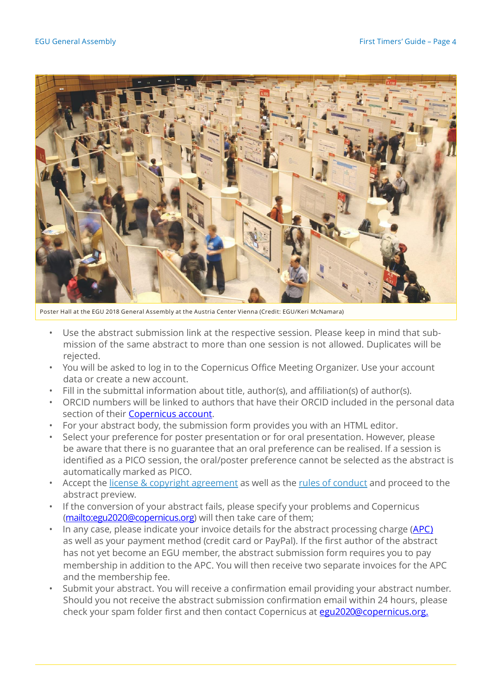

Poster Hall at the EGU 2018 General Assembly at the Austria Center Vienna (Credit: EGU/Keri McNamara)

- Use the abstract submission link at the respective session. Please keep in mind that submission of the same abstract to more than one session is not allowed. Duplicates will be rejected.
- You will be asked to log in to the Copernicus Office Meeting Organizer. Use your account data or create a new account.
- Fill in the submittal information about title, author(s), and affiliation(s) of author(s).
- ORCID numbers will be linked to authors that have their ORCID included in the personal data section of their **Copernicus account**.
- For your abstract body, the submission form provides you with an HTML editor.
- Select your preference for poster presentation or for oral presentation. However, please be aware that there is no guarantee that an oral preference can be realised. If a session is identified as a PICO session, the oral/poster preference cannot be selected as the abstract is automatically marked as PICO.
- Accept the license & copyright [agreement](https://egu2020.eu/abstracts_and_programme/licence_and_copyright.html) as well as the rules of [conduct](https://egu2020.eu/about_and_support/rules_of_conduct.html) and proceed to the abstract preview.
- If the conversion of your abstract fails, please specify your problems and Copernicus [\(mailto:egu2020@copernicus.org\)](mailto:egu2020@copernicus.org) will then take care of them;
- In any case, please indicate your invoice details for the abstract processing charge [\(APC\)](https://egu2020.eu/abstracts_and_programme/apc_information.html) as well as your payment method (credit card or PayPal). If the first author of the abstract has not yet become an EGU member, the abstract submission form requires you to pay membership in addition to the APC. You will then receive two separate invoices for the APC and the membership fee.
- Submit your abstract. You will receive a confirmation email providing your abstract number. Should you not receive the abstract submission confirmation email within 24 hours, please check your spam folder first and then contact Copernicus at [egu2020@copernicus.org.](mailto:egu2020@copernicus.org.)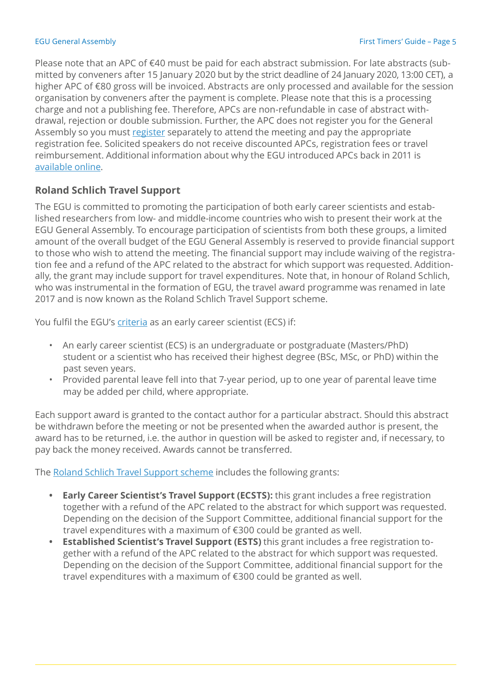Please note that an APC of €40 must be paid for each abstract submission. For late abstracts (submitted by conveners after 15 January 2020 but by the strict deadline of 24 January 2020, 13:00 CET), a higher APC of €80 gross will be invoiced. Abstracts are only processed and available for the session organisation by conveners after the payment is complete. Please note that this is a processing charge and not a publishing fee. Therefore, APCs are non-refundable in case of abstract withdrawal, rejection or double submission. Further, the APC does not register you for the General Assembly so you must [register](https://egu2020.eu/register_and_venue/registration.html) separately to attend the meeting and pay the appropriate registration fee. Solicited speakers do not receive discounted APCs, registration fees or travel reimbursement. Additional information about why the EGU introduced APCs back in 2011 is [available](http://meetings.copernicus.org/egu2011/reasons_for_introducing_an_apc.html) online.

## **Roland Schlich Travel Support**

The EGU is committed to promoting the participation of both early career scientists and established researchers from low- and middle-income countries who wish to present their work at the EGU General Assembly. To encourage participation of scientists from both these groups, a limited amount of the overall budget of the EGU General Assembly is reserved to provide financial support to those who wish to attend the meeting. The financial support may include waiving of the registration fee and a refund of the APC related to the abstract for which support was requested. Additionally, the grant may include support for travel expenditures. Note that, in honour of Roland Schlich, who was instrumental in the formation of EGU, the travel award programme was renamed in late 2017 and is now known as the Roland Schlich Travel Support scheme.

You fulfil the EGU's [criteria](https://www.egu.eu/awards-medals/ecs-definition/) as an early career scientist (ECS) if:

- An early career scientist (ECS) is an undergraduate or postgraduate (Masters/PhD) student or a scientist who has received their highest degree (BSc, MSc, or PhD) within the past seven years.
- Provided parental leave fell into that 7-year period, up to one year of parental leave time may be added per child, where appropriate.

Each support award is granted to the contact author for a particular abstract. Should this abstract be withdrawn before the meeting or not be presented when the awarded author is present, the award has to be returned, i.e. the author in question will be asked to register and, if necessary, to pay back the money received. Awards cannot be transferred.

The Roland Schlich Travel [Support](https://egu2020.eu/about_and_support/roland_schlich_travel_support.html) scheme includes the following grants:

- **• Early Career Scientist's Travel Support (ECSTS):** this grant includes a free registration together with a refund of the APC related to the abstract for which support was requested. Depending on the decision of the Support Committee, additional financial support for the travel expenditures with a maximum of €300 could be granted as well.
- **• Established Scientist's Travel Support (ESTS)** this grant includes a free registration together with a refund of the APC related to the abstract for which support was requested. Depending on the decision of the Support Committee, additional financial support for the travel expenditures with a maximum of €300 could be granted as well.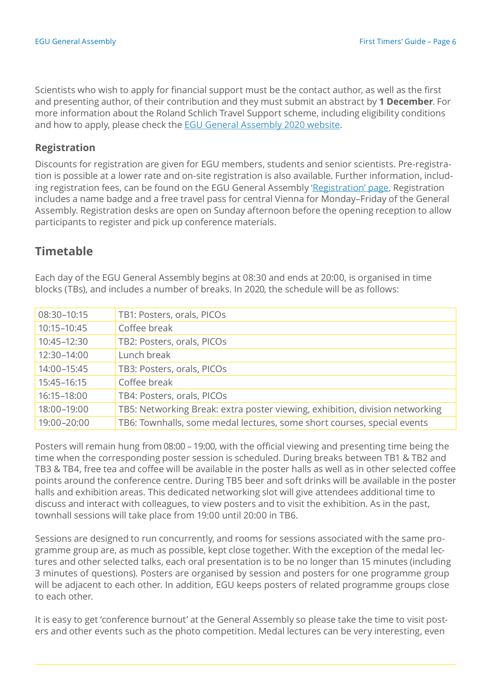Scientists who wish to apply for financial support must be the contact author, as well as the first and presenting author, of their contribution and they must submit an abstract by **1 December**. For more information about the Roland Schlich Travel Support scheme, including eligibility conditions and how to apply, please check the EGU General Assembly [2020 website.](https://egu2020.eu/about_and_support/roland_schlich_travel_support.html)

#### **Registration**

Discounts for registration are given for EGU members, students and senior scientists. Pre-registration is possible at a lower rate and on-site registration is also available. Further information, including registration fees, can be found on the EGU General Assembly '[Registration](https://egu2020.eu/register_and_venue/registration.html)' page. Registration includes a name badge and a free travel pass for central Vienna for Monday–Friday of the General Assembly. Registration desks are open on Sunday afternoon before the opening reception to allow participants to register and pick up conference materials.

## **Timetable**

Each day of the EGU General Assembly begins at 08:30 and ends at 20:00, is organised in time blocks (TBs), and includes a number of breaks. In 2020, the schedule will be as follows:

| 08:30-10:15 | TB1: Posters, orals, PICOs                                                   |
|-------------|------------------------------------------------------------------------------|
| 10:15-10:45 | Coffee break                                                                 |
| 10:45-12:30 | TB2: Posters, orals, PICOs                                                   |
| 12:30-14:00 | Lunch break                                                                  |
| 14:00-15:45 | TB3: Posters, orals, PICOs                                                   |
| 15:45-16:15 | Coffee break                                                                 |
| 16:15-18:00 | TB4: Posters, orals, PICOs                                                   |
| 18:00-19:00 | TB5: Networking Break: extra poster viewing, exhibition, division networking |
| 19:00-20:00 | TB6: Townhalls, some medal lectures, some short courses, special events      |

Posters will remain hung from 08:00 – 19:00, with the official viewing and presenting time being the time when the corresponding poster session is scheduled. During breaks between TB1 & TB2 and TB3 & TB4, free tea and coffee will be available in the poster halls as well as in other selected coffee points around the conference centre. During TB5 beer and soft drinks will be available in the poster halls and exhibition areas. This dedicated networking slot will give attendees additional time to discuss and interact with colleagues, to view posters and to visit the exhibition. As in the past, townhall sessions will take place from 19:00 until 20:00 in TB6.

Sessions are designed to run concurrently, and rooms for sessions associated with the same programme group are, as much as possible, kept close together. With the exception of the medal lectures and other selected talks, each oral presentation is to be no longer than 15 minutes (including 3 minutes of questions). Posters are organised by session and posters for one programme group will be adjacent to each other. In addition, EGU keeps posters of related programme groups close to each other.

It is easy to get 'conference burnout' at the General Assembly so please take the time to visit posters and other events such as the photo competition. Medal lectures can be very interesting, even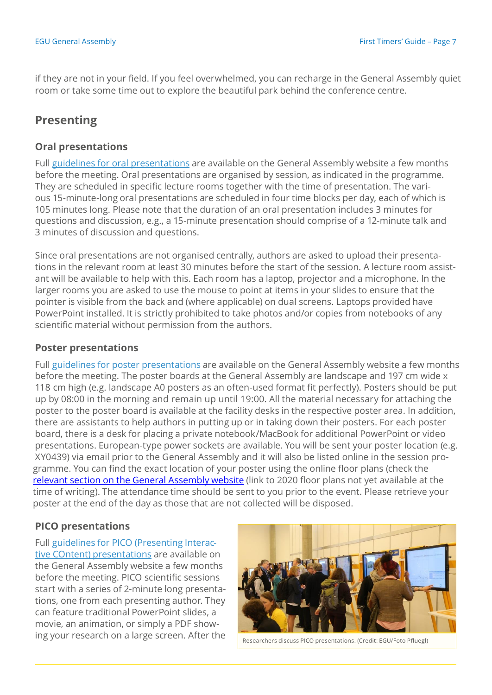if they are not in your field. If you feel overwhelmed, you can recharge in the General Assembly quiet room or take some time out to explore the beautiful park behind the conference centre.

## **Presenting**

### **Oral presentations**

Full guidelines for oral [presentations](https://egu2020.eu/guidelines/oral_presenter_guidelines.html) are available on the General Assembly website a few months before the meeting. Oral presentations are organised by session, as indicated in the programme. They are scheduled in specific lecture rooms together with the time of presentation. The various 15-minute-long oral presentations are scheduled in four time blocks per day, each of which is 105 minutes long. Please note that the duration of an oral presentation includes 3 minutes for questions and discussion, e.g., a 15-minute presentation should comprise of a 12-minute talk and 3 minutes of discussion and questions.

Since oral presentations are not organised centrally, authors are asked to upload their presentations in the relevant room at least 30 minutes before the start of the session. A lecture room assistant will be available to help with this. Each room has a laptop, projector and a microphone. In the larger rooms you are asked to use the mouse to point at items in your slides to ensure that the pointer is visible from the back and (where applicable) on dual screens. Laptops provided have PowerPoint installed. It is strictly prohibited to take photos and/or copies from notebooks of any scientific material without permission from the authors.

#### **Poster presentations**

Full guidelines for poster [presentations](https://egu2020.eu/guidelines/poster_presenter_guidelines.html) are available on the General Assembly website a few months before the meeting. The poster boards at the General Assembly are landscape and 197 cm wide x 118 cm high (e.g. landscape A0 posters as an often-used format fit perfectly). Posters should be put up by 08:00 in the morning and remain up until 19:00. All the material necessary for attaching the poster to the poster board is available at the facility desks in the respective poster area. In addition, there are assistants to help authors in putting up or in taking down their posters. For each poster board, there is a desk for placing a private notebook/MacBook for additional PowerPoint or video presentations. European-type power sockets are available. You will be sent your poster location (e.g. XY0439) via email prior to the General Assembly and it will also be listed online in the session programme. You can find the exact location of your poster using the online floor plans (check the relevant section on the General [Assembly](https://egu2019.eu/register_and_venue/floor_plans.html) website (link to 2020 floor plans not yet available at the time of writing). The attendance time should be sent to you prior to the event. Please retrieve your poster at the end of the day as those that are not collected will be disposed.

### **PICO presentations**

Full guidelines for PICO [\(Presenting](https://egu2020.eu/guidelines/pico_presenter_guidelines.html) Interactive COntent) [presentations](https://egu2019.eu/guidelines/pico_presenter_guidelines.html) are available on the General Assembly website a few months before the meeting. PICO scientific sessions start with a series of 2-minute long presentations, one from each presenting author. They can feature traditional PowerPoint slides, a movie, an animation, or simply a PDF showing your research on a large screen. After the



Researchers discuss PICO presentations. (Credit: EGU/Foto Pfluegl)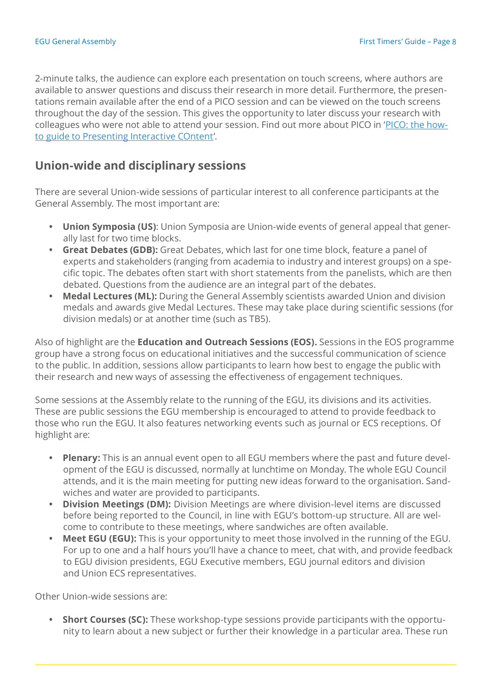2-minute talks, the audience can explore each presentation on touch screens, where authors are available to answer questions and discuss their research in more detail. Furthermore, the presentations remain available after the end of a PICO session and can be viewed on the touch screens throughout the day of the session. This gives the opportunity to later discuss your research with colleagues who were not able to attend your session. Find out more about PICO in '[PICO:](https://cdn.egu.eu/static/latest/meetings/ga/PICO_Guide.pdf) the howto guide to [Presenting](https://cdn.egu.eu/static/latest/meetings/ga/PICO_Guide.pdf) Interactive COntent'.

## **Union-wide and disciplinary sessions**

There are several Union-wide sessions of particular interest to all conference participants at the General Assembly. The most important are:

- **• Union Symposia (US)**: Union Symposia are Union-wide events of general appeal that generally last for two time blocks.
- **• Great Debates (GDB):** Great Debates, which last for one time block, feature a panel of experts and stakeholders (ranging from academia to industry and interest groups) on a specific topic. The debates often start with short statements from the panelists, which are then debated. Questions from the audience are an integral part of the debates.
- **• Medal Lectures (ML):** During the General Assembly scientists awarded Union and division medals and awards give Medal Lectures. These may take place during scientific sessions (for division medals) or at another time (such as TB5).

Also of highlight are the **Education and Outreach Sessions (EOS).** Sessions in the EOS programme group have a strong focus on educational initiatives and the successful communication of science to the public. In addition, sessions allow participants to learn how best to engage the public with their research and new ways of assessing the effectiveness of engagement techniques.

Some sessions at the Assembly relate to the running of the EGU, its divisions and its activities. These are public sessions the EGU membership is encouraged to attend to provide feedback to those who run the EGU. It also features networking events such as journal or ECS receptions. Of highlight are:

- **• Plenary:** This is an annual event open to all EGU members where the past and future development of the EGU is discussed, normally at lunchtime on Monday. The whole EGU Council attends, and it is the main meeting for putting new ideas forward to the organisation. Sandwiches and water are provided to participants.
- **• Division Meetings (DM):** Division Meetings are where division-level items are discussed before being reported to the Council, in line with EGU's bottom-up structure. All are welcome to contribute to these meetings, where sandwiches are often available.
- **• Meet EGU (EGU):** This is your opportunity to meet those involved in the running of the EGU. For up to one and a half hours you'll have a chance to meet, chat with, and provide feedback to EGU division presidents, EGU Executive members, EGU journal editors and division and Union ECS representatives.

Other Union-wide sessions are:

**• Short Courses (SC):** These workshop-type sessions provide participants with the opportunity to learn about a new subject or further their knowledge in a particular area. These run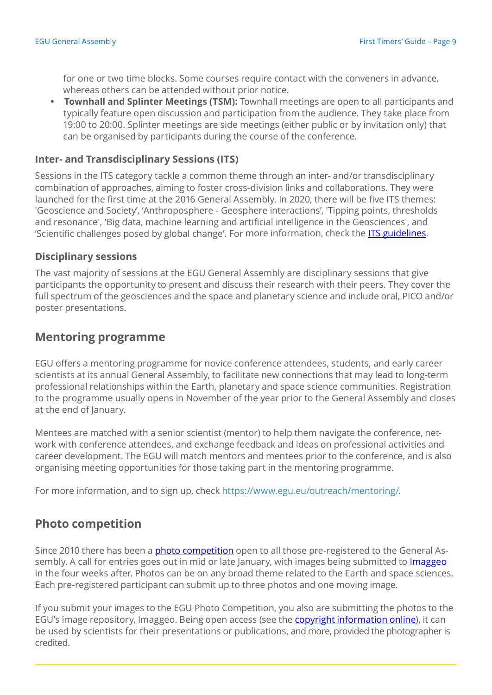for one or two time blocks. Some courses require contact with the conveners in advance, whereas others can be attended without prior notice.

**• Townhall and Splinter Meetings (TSM):** Townhall meetings are open to all participants and typically feature open discussion and participation from the audience. They take place from 19:00 to 20:00. Splinter meetings are side meetings (either public or by invitation only) that can be organised by participants during the course of the conference.

#### **Inter- and Transdisciplinary Sessions (ITS)**

Sessions in the ITS category tackle a common theme through an inter- and/or transdisciplinary combination of approaches, aiming to foster cross-division links and collaborations. They were launched for the first time at the 2016 General Assembly. In 2020, there will be five ITS themes: 'Geoscience and Society', 'Anthroposphere - Geosphere interactions', 'Tipping points, thresholds and resonance', 'Big data, machine learning and artificial intelligence in the Geosciences', and 'Scientific challenges posed by global change'. For more information, check the **ITS guidelines**.

#### **Disciplinary sessions**

The vast majority of sessions at the EGU General Assembly are disciplinary sessions that give participants the opportunity to present and discuss their research with their peers. They cover the full spectrum of the geosciences and the space and planetary science and include oral, PICO and/or poster presentations.

## **Mentoring programme**

EGU offers a mentoring programme for novice conference attendees, students, and early career scientists at its annual General Assembly, to facilitate new connections that may lead to long-term professional relationships within the Earth, planetary and space science communities. Registration to the programme usually opens in November of the year prior to the General Assembly and closes at the end of January.

Mentees are matched with a senior scientist (mentor) to help them navigate the conference, network with conference attendees, and exchange feedback and ideas on professional activities and career development. The EGU will match mentors and mentees prior to the conference, and is also organising meeting opportunities for those taking part in the mentoring programme.

For more information, and to sign up, check https:/[/www.egu.eu/outreach/mentoring/.](http://www.egu.eu/outreach/mentoring/)

## **Photo competition**

Since 2010 there has been a *photo [competition](https://imaggeo.egu.eu/photo-competition/)* open to all those pre-registered to the General Assembly. A call for entries goes out in mid or late January, with images being submitted to *Imaggeo* in the four weeks after. Photos can be on any broad theme related to the Earth and space [sciences](http://imaggeo.egu.eu/). Each pre-registered participant can submit up to three photos and one moving image.

If you submit your images to the EGU Photo Competition, you also are submitting the photos to the EGU's image repository, Imaggeo. Being open access (see the copyright [information](https://imaggeo.egu.eu/copyright/) online), it can be used by scientists for their presentations or publications, and more, provided the photographer is credited.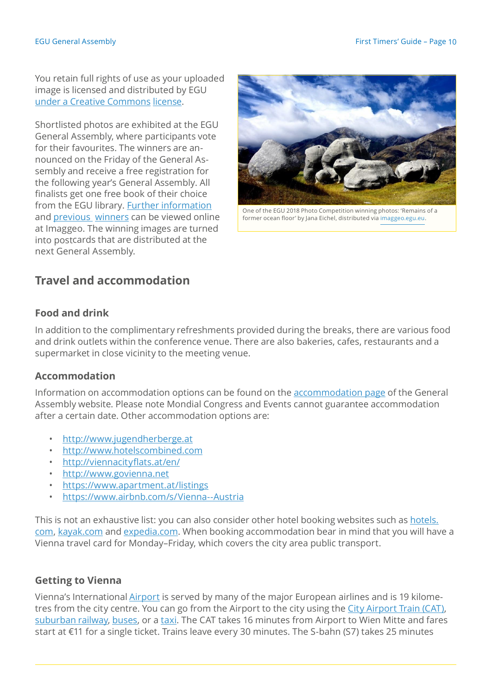You retain full rights of use as your uploaded image is licensed and distributed by EGU under a Creative [Commons](http://creativecommons.org/licenses/) [license.](http://creativecommons.org/licenses/)

Shortlisted photos are exhibited at the EGU General Assembly, where participants vote for their favourites. The winners are announced on the Friday of the General Assembly and receive a free registration for the following year's General Assembly. All finalists get one free book of their choice from the EGU library. Further [information](https://imaggeo.egu.eu/photo-competition/information/) and [previous winners](https://imaggeo.egu.eu/photo-competition/) can be viewed online at Imaggeo. The winning images are turned into postcards that are distributed at the next General Assembly.



One of the EGU 2018 Photo Competition winning photos: 'Remains of a former ocean floor' by Jana Eichel, distributed vi[a imaggeo.egu.eu.](http://imaggeo.egu.eu/)

## **Travel and accommodation**

#### **Food and drink**

In addition to the complimentary refreshments provided during the breaks, there are various food and drink outlets within the conference venue. There are also bakeries, cafes, restaurants and a supermarket in close vicinity to the meeting venue.

#### **Accommodation**

Information on accommodation options can be found on the [accommodation](https://egu2020.eu/register_and_venue/accommodation.html) page of the General Assembly website. Please note Mondial Congress and Events cannot guarantee accommodation after a certain date. Other accommodation options are:

- [http://www.jugendherberge.at](http://www.jugendherberge.at/)
- [http://www.hotelscombined.com](http://www.hotelscombined.com/)
- <http://viennacityflats.at/en/>
- [http://www.govienna.net](http://www.govienna.net/)
- <https://www.apartment.at/listings>
- <https://www.airbnb.com/s/Vienna--Austria>

This is not an exhaustive list: you can also consider other hotel booking websites such as [hotels.](http://hotels.com/) [com,](http://hotels.com/) [kayak.com](http://kayak.com/) and [expedia.com.](http://expedia.com/) When booking accommodation bear in mind that you will have a Vienna travel card for Monday–Friday, which covers the city area public transport.

#### **Getting to Vienna**

Vienna's International [Airport](http://www.viennaairport.com/) is served by many of the major European airlines and is 19 kilometres from the city centre. You can go from the Airport to the city using the City [Airport](http://www.viennaairport.com/jart/prj3/va/main.jart?rel=en&content-id=1249344074245) Train (CAT), [suburban](http://www.viennaairport.com/jart/prj3/va/main.jart?rel=en&content-id=1260752528082&reserve-mode=active) railway, [buses,](http://www.viennaairport.com/jart/prj3/va/main.jart?rel=en&content-id=1249344074246&reserve-mode=active) or a [taxi.](http://www.viennaairport.com/jart/prj3/va/main.jart?rel=en&content-id=1249344074251&reserve-mode=active) The CAT takes 16 minutes from Airport to Wien Mitte and fares start at €11 for a single ticket. Trains leave every 30 minutes. The S-bahn (S7) takes 25 minutes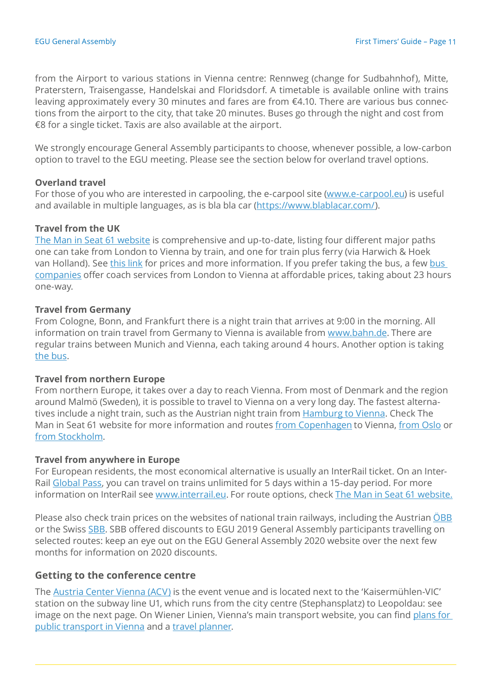from the Airport to various stations in Vienna centre: Rennweg (change for Sudbahnhof), Mitte, Praterstern, Traisengasse, Handelskai and Floridsdorf. A timetable is available online with trains leaving approximately every 30 minutes and fares are from €4.10. There are various bus connections from the airport to the city, that take 20 minutes. Buses go through the night and cost from €8 for a single ticket. Taxis are also available at the airport.

We strongly encourage General Assembly participants to choose, whenever possible, a low-carbon option to travel to the EGU meeting. Please see the section below for overland travel options.

#### **Overland travel**

For those of you who are interested in carpooling, the e-carpool site [\(www.e-carpool.eu\)](http://www.e-carpool.eu/) is useful and available in multiple languages, as is bla bla car [\(https://www.blablacar.com/\)](https://www.blablacar.com/).

#### **Travel from the UK**

The Man in Seat 61 [website](http://www.seat61.com/) is comprehensive and up-to-date, listing four different major paths one can take from London to Vienna by train, and one for train plus ferry (via Harwich & Hoek van Holland). See [this](https://www.seat61.com/Austria.htm#Vienna) link for prices and more information. If you prefer taking the bus, a few bus [companies](https://www.goeuro.com/buses/) offer coach services from London to Vienna at affordable prices, taking about 23 hours one-way.

#### **Travel from Germany**

From Cologne, Bonn, and Frankfurt there is a night train that arrives at 9:00 in the morning. All information on train travel from Germany to Vienna is available from [www.bahn.de.](http://www.bahn.de/) There are regular trains between Munich and Vienna, each taking around 4 hours. Another option is taking the [bus.](https://www.goeuro.com/buses/germany)

#### **Travel from northern Europe**

From northern Europe, it takes over a day to reach Vienna. From most of Denmark and the region around Malmö (Sweden), it is possible to travel to Vienna on a very long day. The fastest alterna-tives include a night train, such as the Austrian night train from [Hamburg](https://www.bahn.com/en/view/offers/night-train/nightjet.shtml?dbkanal_007=L04_S02_D002_KIN0060_NAVIGATION-LINKS-OEBB-Nightjet_LZ01) to Vienna. Check The Man in Seat 61 website for more information and routes from [Copenhagen](https://www.seat61.com/international-trains/trains-from-Copenhagen.htm) to Vienna, [from](https://www.seat61.com/international-trains/trains-from-Oslo.htm#Oslo_to_Amsterdam) Oslo or from [Stockholm.](https://www.seat61.com/international-trains/trains-from-Stockholm.htm#Stockholm-Prague)

#### **Travel from anywhere in Europe**

For European residents, the most economical alternative is usually an InterRail ticket. On an Inter-Rail [Global](https://www.interrail.eu/en/interrail-passes/global-pass) Pass, you can travel on trains unlimited for 5 days within a 15-day period. For more information on InterRail see [www.interrail.eu.](http://www.interrail.eu/) For route options, check The Man in Seat 61 [website.](http://www.seat61.com/)

Please also check train prices on the websites of national train railways, including the Austrian OBB or the Swiss [SBB.](https://www.sbb.ch/en/home.html) SBB offered discounts to EGU 2019 General Assembly participants travelling on selected routes: keep an eye out on the EGU General Assembly 2020 website over the next few months for information on 2020 discounts.

#### **Getting to the conference centre**

The [Austria](https://www.acv.at/index.en.html) Center Vienna (ACV) is the event venue and is located next to the 'Kaisermühlen-VIC' station on the subway line U1, which runs from the city centre (Stephansplatz) to Leopoldau: see image on the next page. On Wiener Linien, Vienna's main transport website, you can find [plans](https://www.wienerlinien.at/eportal3/ep/channelView.do?pageTypeId=66526&channelId=-47187) for public [transport](https://www.wienerlinien.at/eportal3/ep/channelView.do?pageTypeId=66526&channelId=-47187) in Vienna and a travel [planner.](https://www.wienerlinien.at/eportal3/ep/tab.do?tabId=0)